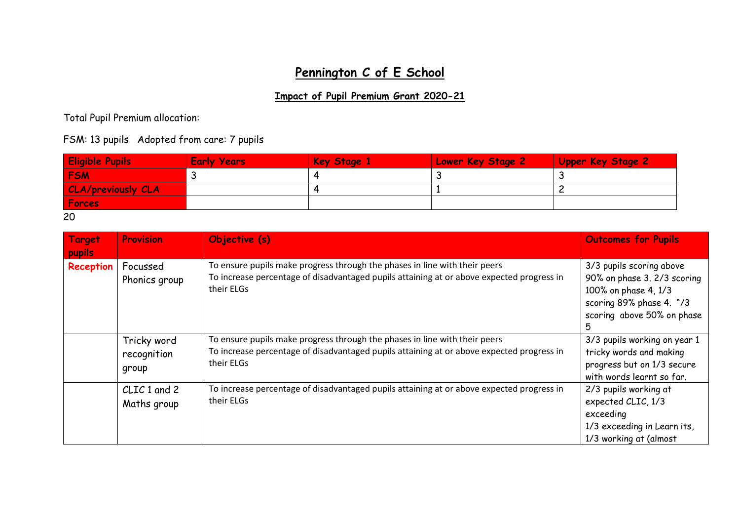## **Pennington C of E School**

## **Impact of Pupil Premium Grant 2020-21**

Total Pupil Premium allocation:

FSM: 13 pupils Adopted from care: 7 pupils

| <b>Eligible Pupils</b>    | <b>Early Years</b> | Key Stage 1 | <b>Lower Key Stage 2</b> | <b>Upper Key Stage 2</b> |
|---------------------------|--------------------|-------------|--------------------------|--------------------------|
| <b>FSM</b>                |                    |             |                          |                          |
| <b>CLA/previously CLA</b> |                    |             |                          |                          |
| Forces                    |                    |             |                          |                          |

20

| Target<br>pupils | <b>Provision</b>                    | Objective (s)                                                                                                                                                                         | <b>Outcomes for Pupils</b>                                                                                                                     |
|------------------|-------------------------------------|---------------------------------------------------------------------------------------------------------------------------------------------------------------------------------------|------------------------------------------------------------------------------------------------------------------------------------------------|
| Reception        | Focussed<br>Phonics group           | To ensure pupils make progress through the phases in line with their peers<br>To increase percentage of disadvantaged pupils attaining at or above expected progress in<br>their ELGs | 3/3 pupils scoring above<br>90% on phase 3. 2/3 scoring<br>100% on phase 4, 1/3<br>scoring 89% phase 4. "/3<br>scoring above 50% on phase<br>5 |
|                  | Tricky word<br>recognition<br>group | To ensure pupils make progress through the phases in line with their peers<br>To increase percentage of disadvantaged pupils attaining at or above expected progress in<br>their ELGs | 3/3 pupils working on year 1<br>tricky words and making<br>progress but on 1/3 secure<br>with words learnt so far.                             |
|                  | CLIC 1 and 2<br>Maths group         | To increase percentage of disadvantaged pupils attaining at or above expected progress in<br>their ELGs                                                                               | 2/3 pupils working at<br>expected CLIC, 1/3<br>exceeding<br>1/3 exceeding in Learn its,<br>1/3 working at (almost                              |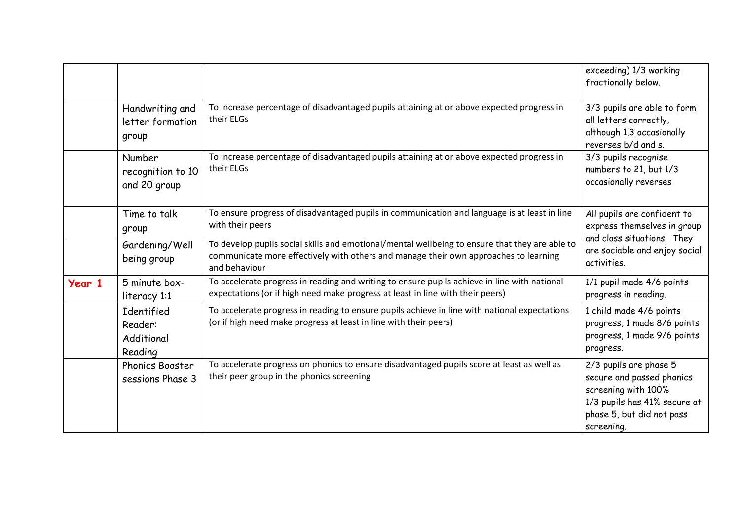|        |                                                |                                                                                                                                                                                                         | exceeding) 1/3 working<br>fractionally below.                                                                                                         |
|--------|------------------------------------------------|---------------------------------------------------------------------------------------------------------------------------------------------------------------------------------------------------------|-------------------------------------------------------------------------------------------------------------------------------------------------------|
|        | Handwriting and<br>letter formation<br>group   | To increase percentage of disadvantaged pupils attaining at or above expected progress in<br>their ELGs                                                                                                 | 3/3 pupils are able to form<br>all letters correctly,<br>although 1.3 occasionally<br>reverses b/d and s.                                             |
|        | Number<br>recognition to 10<br>and 20 group    | To increase percentage of disadvantaged pupils attaining at or above expected progress in<br>their ELGs                                                                                                 | 3/3 pupils recognise<br>numbers to 21, but 1/3<br>occasionally reverses                                                                               |
|        | Time to talk<br>group                          | To ensure progress of disadvantaged pupils in communication and language is at least in line<br>with their peers                                                                                        | All pupils are confident to<br>express themselves in group                                                                                            |
|        | Gardening/Well<br>being group                  | To develop pupils social skills and emotional/mental wellbeing to ensure that they are able to<br>communicate more effectively with others and manage their own approaches to learning<br>and behaviour | and class situations. They<br>are sociable and enjoy social<br>activities.                                                                            |
| Year 1 | 5 minute box-<br>literacy 1:1                  | To accelerate progress in reading and writing to ensure pupils achieve in line with national<br>expectations (or if high need make progress at least in line with their peers)                          | 1/1 pupil made 4/6 points<br>progress in reading.                                                                                                     |
|        | Identified<br>Reader:<br>Additional<br>Reading | To accelerate progress in reading to ensure pupils achieve in line with national expectations<br>(or if high need make progress at least in line with their peers)                                      | 1 child made 4/6 points<br>progress, 1 made 8/6 points<br>progress, 1 made 9/6 points<br>progress.                                                    |
|        | Phonics Booster<br>sessions Phase 3            | To accelerate progress on phonics to ensure disadvantaged pupils score at least as well as<br>their peer group in the phonics screening                                                                 | 2/3 pupils are phase 5<br>secure and passed phonics<br>screening with 100%<br>1/3 pupils has 41% secure at<br>phase 5, but did not pass<br>screening. |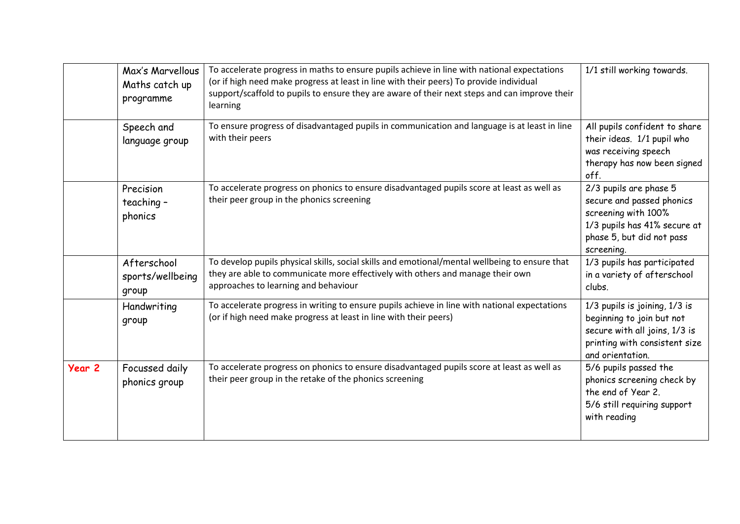|        | Max's Marvellous<br>Maths catch up<br>programme | To accelerate progress in maths to ensure pupils achieve in line with national expectations<br>(or if high need make progress at least in line with their peers) To provide individual<br>support/scaffold to pupils to ensure they are aware of their next steps and can improve their<br>learning | 1/1 still working towards.                                                                                                                            |
|--------|-------------------------------------------------|-----------------------------------------------------------------------------------------------------------------------------------------------------------------------------------------------------------------------------------------------------------------------------------------------------|-------------------------------------------------------------------------------------------------------------------------------------------------------|
|        | Speech and<br>language group                    | To ensure progress of disadvantaged pupils in communication and language is at least in line<br>with their peers                                                                                                                                                                                    | All pupils confident to share<br>their ideas. 1/1 pupil who<br>was receiving speech<br>therapy has now been signed<br>off.                            |
|        | Precision<br>teaching-<br>phonics               | To accelerate progress on phonics to ensure disadvantaged pupils score at least as well as<br>their peer group in the phonics screening                                                                                                                                                             | 2/3 pupils are phase 5<br>secure and passed phonics<br>screening with 100%<br>1/3 pupils has 41% secure at<br>phase 5, but did not pass<br>screening. |
|        | Afterschool<br>sports/wellbeing<br>group        | To develop pupils physical skills, social skills and emotional/mental wellbeing to ensure that<br>they are able to communicate more effectively with others and manage their own<br>approaches to learning and behaviour                                                                            | 1/3 pupils has participated<br>in a variety of afterschool<br>clubs.                                                                                  |
|        | Handwriting<br>group                            | To accelerate progress in writing to ensure pupils achieve in line with national expectations<br>(or if high need make progress at least in line with their peers)                                                                                                                                  | 1/3 pupils is joining, 1/3 is<br>beginning to join but not<br>secure with all joins, 1/3 is<br>printing with consistent size<br>and orientation.      |
| Year 2 | Focussed daily<br>phonics group                 | To accelerate progress on phonics to ensure disadvantaged pupils score at least as well as<br>their peer group in the retake of the phonics screening                                                                                                                                               | 5/6 pupils passed the<br>phonics screening check by<br>the end of Year 2.<br>5/6 still requiring support<br>with reading                              |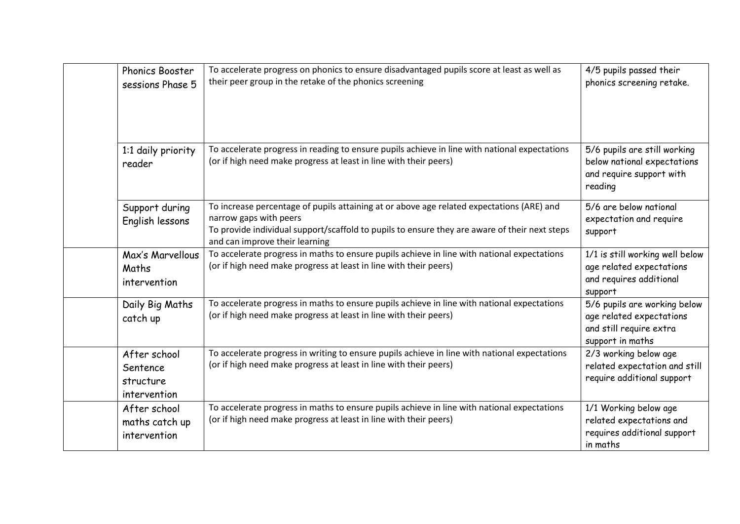| Phonics Booster<br>sessions Phase 5                   | To accelerate progress on phonics to ensure disadvantaged pupils score at least as well as<br>their peer group in the retake of the phonics screening                                                                                                  | 4/5 pupils passed their<br>phonics screening retake.                                                    |
|-------------------------------------------------------|--------------------------------------------------------------------------------------------------------------------------------------------------------------------------------------------------------------------------------------------------------|---------------------------------------------------------------------------------------------------------|
| 1:1 daily priority<br>reader                          | To accelerate progress in reading to ensure pupils achieve in line with national expectations<br>(or if high need make progress at least in line with their peers)                                                                                     | 5/6 pupils are still working<br>below national expectations<br>and require support with<br>reading      |
| Support during<br>English lessons                     | To increase percentage of pupils attaining at or above age related expectations (ARE) and<br>narrow gaps with peers<br>To provide individual support/scaffold to pupils to ensure they are aware of their next steps<br>and can improve their learning | 5/6 are below national<br>expectation and require<br>support                                            |
| Max's Marvellous<br>Maths<br>intervention             | To accelerate progress in maths to ensure pupils achieve in line with national expectations<br>(or if high need make progress at least in line with their peers)                                                                                       | 1/1 is still working well below<br>age related expectations<br>and requires additional<br>support       |
| Daily Big Maths<br>catch up                           | To accelerate progress in maths to ensure pupils achieve in line with national expectations<br>(or if high need make progress at least in line with their peers)                                                                                       | 5/6 pupils are working below<br>age related expectations<br>and still require extra<br>support in maths |
| After school<br>Sentence<br>structure<br>intervention | To accelerate progress in writing to ensure pupils achieve in line with national expectations<br>(or if high need make progress at least in line with their peers)                                                                                     | 2/3 working below age<br>related expectation and still<br>require additional support                    |
| After school<br>maths catch up<br>intervention        | To accelerate progress in maths to ensure pupils achieve in line with national expectations<br>(or if high need make progress at least in line with their peers)                                                                                       | 1/1 Working below age<br>related expectations and<br>requires additional support<br>in maths            |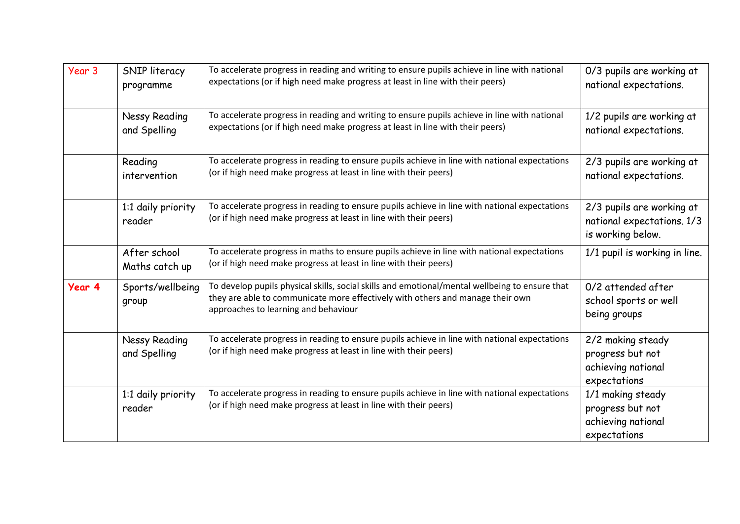| Year 3 | SNIP literacy<br>programme           | To accelerate progress in reading and writing to ensure pupils achieve in line with national<br>expectations (or if high need make progress at least in line with their peers)                                           | 0/3 pupils are working at<br>national expectations.                          |
|--------|--------------------------------------|--------------------------------------------------------------------------------------------------------------------------------------------------------------------------------------------------------------------------|------------------------------------------------------------------------------|
|        | Nessy Reading<br>and Spelling        | To accelerate progress in reading and writing to ensure pupils achieve in line with national<br>expectations (or if high need make progress at least in line with their peers)                                           | 1/2 pupils are working at<br>national expectations.                          |
|        | Reading<br>intervention              | To accelerate progress in reading to ensure pupils achieve in line with national expectations<br>(or if high need make progress at least in line with their peers)                                                       | 2/3 pupils are working at<br>national expectations.                          |
|        | 1:1 daily priority<br>reader         | To accelerate progress in reading to ensure pupils achieve in line with national expectations<br>(or if high need make progress at least in line with their peers)                                                       | 2/3 pupils are working at<br>national expectations. 1/3<br>is working below. |
|        | After school<br>Maths catch up       | To accelerate progress in maths to ensure pupils achieve in line with national expectations<br>(or if high need make progress at least in line with their peers)                                                         | 1/1 pupil is working in line.                                                |
| Year 4 | Sports/wellbeing<br>group            | To develop pupils physical skills, social skills and emotional/mental wellbeing to ensure that<br>they are able to communicate more effectively with others and manage their own<br>approaches to learning and behaviour | 0/2 attended after<br>school sports or well<br>being groups                  |
|        | <b>Nessy Reading</b><br>and Spelling | To accelerate progress in reading to ensure pupils achieve in line with national expectations<br>(or if high need make progress at least in line with their peers)                                                       | 2/2 making steady<br>progress but not<br>achieving national<br>expectations  |
|        | 1:1 daily priority<br>reader         | To accelerate progress in reading to ensure pupils achieve in line with national expectations<br>(or if high need make progress at least in line with their peers)                                                       | 1/1 making steady<br>progress but not<br>achieving national<br>expectations  |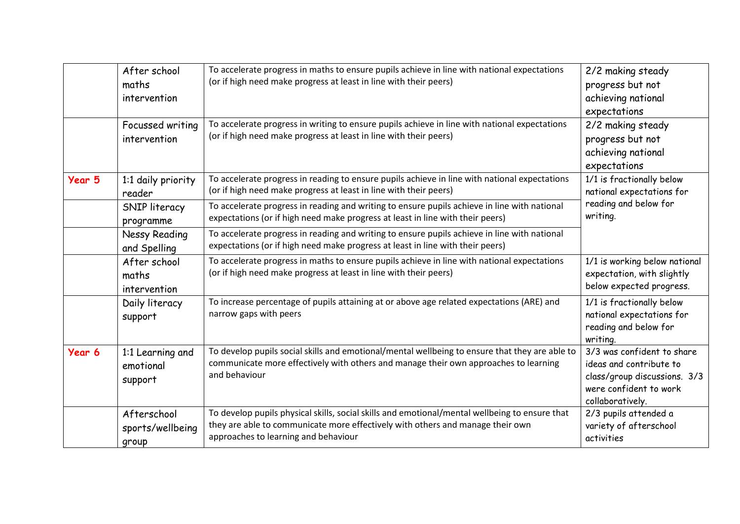|        | After school<br>maths<br>intervention    | To accelerate progress in maths to ensure pupils achieve in line with national expectations<br>(or if high need make progress at least in line with their peers)                                                         | 2/2 making steady<br>progress but not<br>achieving national<br>expectations                                                         |
|--------|------------------------------------------|--------------------------------------------------------------------------------------------------------------------------------------------------------------------------------------------------------------------------|-------------------------------------------------------------------------------------------------------------------------------------|
|        | Focussed writing<br>intervention         | To accelerate progress in writing to ensure pupils achieve in line with national expectations<br>(or if high need make progress at least in line with their peers)                                                       | 2/2 making steady<br>progress but not<br>achieving national<br>expectations                                                         |
| Year 5 | 1:1 daily priority<br>reader             | To accelerate progress in reading to ensure pupils achieve in line with national expectations<br>(or if high need make progress at least in line with their peers)                                                       | 1/1 is fractionally below<br>national expectations for                                                                              |
|        | SNIP literacy<br>programme               | To accelerate progress in reading and writing to ensure pupils achieve in line with national<br>expectations (or if high need make progress at least in line with their peers)                                           | reading and below for<br>writing.                                                                                                   |
|        | <b>Nessy Reading</b><br>and Spelling     | To accelerate progress in reading and writing to ensure pupils achieve in line with national<br>expectations (or if high need make progress at least in line with their peers)                                           |                                                                                                                                     |
|        | After school<br>maths<br>intervention    | To accelerate progress in maths to ensure pupils achieve in line with national expectations<br>(or if high need make progress at least in line with their peers)                                                         | 1/1 is working below national<br>expectation, with slightly<br>below expected progress.                                             |
|        | Daily literacy<br>support                | To increase percentage of pupils attaining at or above age related expectations (ARE) and<br>narrow gaps with peers                                                                                                      | 1/1 is fractionally below<br>national expectations for<br>reading and below for<br>writing.                                         |
| Year 6 | 1:1 Learning and<br>emotional<br>support | To develop pupils social skills and emotional/mental wellbeing to ensure that they are able to<br>communicate more effectively with others and manage their own approaches to learning<br>and behaviour                  | 3/3 was confident to share<br>ideas and contribute to<br>class/group discussions. 3/3<br>were confident to work<br>collaboratively. |
|        | Afterschool<br>sports/wellbeing<br>group | To develop pupils physical skills, social skills and emotional/mental wellbeing to ensure that<br>they are able to communicate more effectively with others and manage their own<br>approaches to learning and behaviour | 2/3 pupils attended a<br>variety of afterschool<br>activities                                                                       |